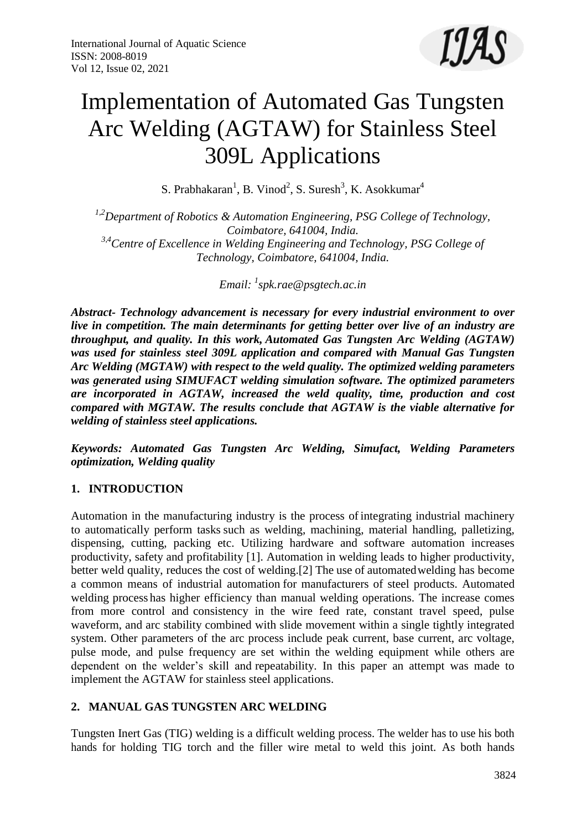

# Implementation of Automated Gas Tungsten Arc Welding (AGTAW) for Stainless Steel 309L Applications

S. Prabhakaran<sup>1</sup>, B. Vinod<sup>2</sup>, S. Suresh<sup>3</sup>, K. Asokkumar<sup>4</sup>

*1,2Department of Robotics & Automation Engineering, PSG College of Technology, Coimbatore, 641004, India. 3,4Centre of Excellence in Welding Engineering and Technology, PSG College of Technology, Coimbatore, 641004, India.*

*Email: <sup>1</sup> [spk.rae@psgtech.ac.in](mailto:spk.rae@psgtech.ac.in)*

*Abstract- Technology advancement is necessary for every industrial environment to over live in competition. The main determinants for getting better over live of an industry are throughput, and quality. In this work, Automated Gas Tungsten Arc Welding (AGTAW) was used for stainless steel 309L application and compared with Manual Gas Tungsten Arc Welding (MGTAW) with respect to the weld quality. The optimized welding parameters was generated using SIMUFACT welding simulation software. The optimized parameters are incorporated in AGTAW, increased the weld quality, time, production and cost compared with MGTAW. The results conclude that AGTAW is the viable alternative for welding of stainless steel applications.*

*Keywords: Automated Gas Tungsten Arc Welding, Simufact, Welding Parameters optimization, Welding quality*

# **1. INTRODUCTION**

Automation in the manufacturing industry is the process of integrating industrial machinery to automatically perform tasks such as welding, machining, material handling, palletizing, dispensing, cutting, packing etc. Utilizing hardware and software automation increases productivity, safety and profitability [1]. Automation in welding leads to higher productivity, better weld quality, reduces the cost of welding.[2] The use of automatedwelding has become a common means of industrial automation for manufacturers of steel products. Automated welding process has higher efficiency than manual welding operations. The increase comes from more control and consistency in the wire feed rate, constant travel speed, pulse waveform, and arc stability combined with slide movement within a single tightly integrated system. Other parameters of the arc process include peak current, base current, arc voltage, pulse mode, and pulse frequency are set within the welding equipment while others are dependent on the welder's skill and repeatability. In this paper an attempt was made to implement the AGTAW for stainless steel applications.

# **2. MANUAL GAS TUNGSTEN ARC WELDING**

Tungsten Inert Gas (TIG) welding is a difficult welding process. The welder has to use his both hands for holding TIG torch and the filler wire metal to weld this joint. As both hands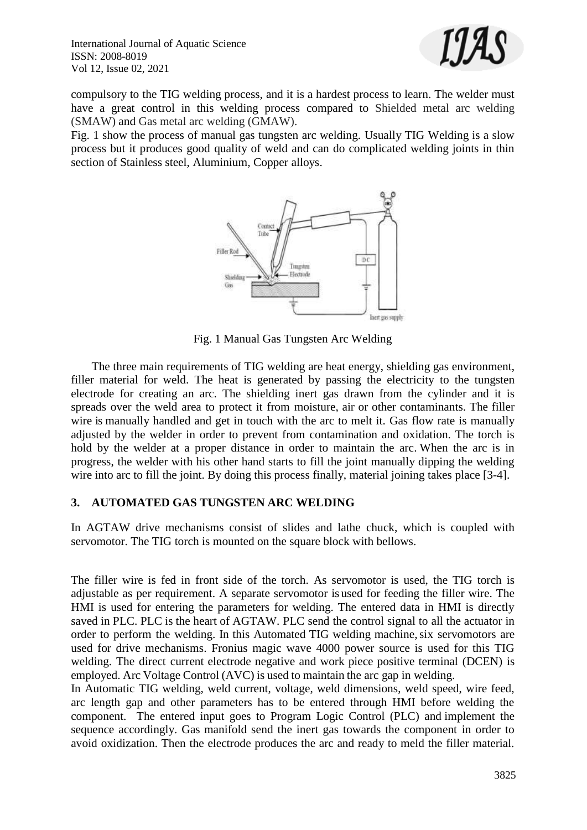

compulsory to the TIG welding process, and it is a hardest process to learn. The welder must have a great control in this welding process compared to Shielded metal arc welding (SMAW) and Gas metal arc welding (GMAW).

Fig. 1 show the process of manual gas tungsten arc welding. Usually TIG Welding is a slow process but it produces good quality of weld and can do complicated welding joints in thin section of Stainless steel, Aluminium, Copper alloys.



Fig. 1 Manual Gas Tungsten Arc Welding

 The three main requirements of TIG welding are heat energy, shielding gas environment, filler material for weld. The heat is generated by passing the electricity to the tungsten electrode for creating an arc. The shielding inert gas drawn from the cylinder and it is spreads over the weld area to protect it from moisture, air or other contaminants. The filler wire is manually handled and get in touch with the arc to melt it. Gas flow rate is manually adjusted by the welder in order to prevent from contamination and oxidation. The torch is hold by the welder at a proper distance in order to maintain the arc. When the arc is in progress, the welder with his other hand starts to fill the joint manually dipping the welding wire into arc to fill the joint. By doing this process finally, material joining takes place [3-4].

# **3. AUTOMATED GAS TUNGSTEN ARC WELDING**

In AGTAW drive mechanisms consist of slides and lathe chuck, which is coupled with servomotor. The TIG torch is mounted on the square block with bellows.

The filler wire is fed in front side of the torch. As servomotor is used, the TIG torch is adjustable as per requirement. A separate servomotor is used for feeding the filler wire. The HMI is used for entering the parameters for welding. The entered data in HMI is directly saved in PLC. PLC is the heart of AGTAW. PLC send the control signal to all the actuator in order to perform the welding. In this Automated TIG welding machine, six servomotors are used for drive mechanisms. Fronius magic wave 4000 power source is used for this TIG welding. The direct current electrode negative and work piece positive terminal (DCEN) is employed. Arc Voltage Control (AVC) is used to maintain the arc gap in welding.

In Automatic TIG welding, weld current, voltage, weld dimensions, weld speed, wire feed, arc length gap and other parameters has to be entered through HMI before welding the component. The entered input goes to Program Logic Control (PLC) and implement the sequence accordingly. Gas manifold send the inert gas towards the component in order to avoid oxidization. Then the electrode produces the arc and ready to meld the filler material.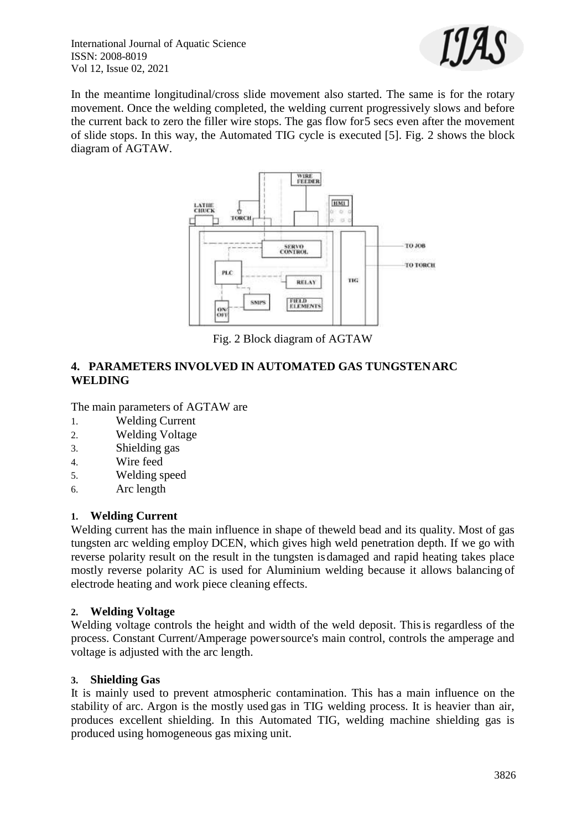

In the meantime longitudinal/cross slide movement also started. The same is for the rotary movement. Once the welding completed, the welding current progressively slows and before the current back to zero the filler wire stops. The gas flow for5 secs even after the movement of slide stops. In this way, the Automated TIG cycle is executed [5]. Fig. 2 shows the block diagram of AGTAW.



Fig. 2 Block diagram of AGTAW

# **4. PARAMETERS INVOLVED IN AUTOMATED GAS TUNGSTENARC WELDING**

The main parameters of AGTAW are

- 1. Welding Current
- 2. Welding Voltage
- 3. Shielding gas
- 4. Wire feed
- 5. Welding speed
- 6. Arc length

#### **1. Welding Current**

Welding current has the main influence in shape of theweld bead and its quality. Most of gas tungsten arc welding employ DCEN, which gives high weld penetration depth. If we go with reverse polarity result on the result in the tungsten is damaged and rapid heating takes place mostly reverse polarity AC is used for Aluminium welding because it allows balancing of electrode heating and work piece cleaning effects.

#### **2. Welding Voltage**

Welding voltage controls the height and width of the weld deposit. Thisis regardless of the process. Constant Current/Amperage powersource's main control, controls the amperage and voltage is adjusted with the arc length.

#### **3. Shielding Gas**

It is mainly used to prevent atmospheric contamination. This has a main influence on the stability of arc. Argon is the mostly used gas in TIG welding process. It is heavier than air, produces excellent shielding. In this Automated TIG, welding machine shielding gas is produced using homogeneous gas mixing unit.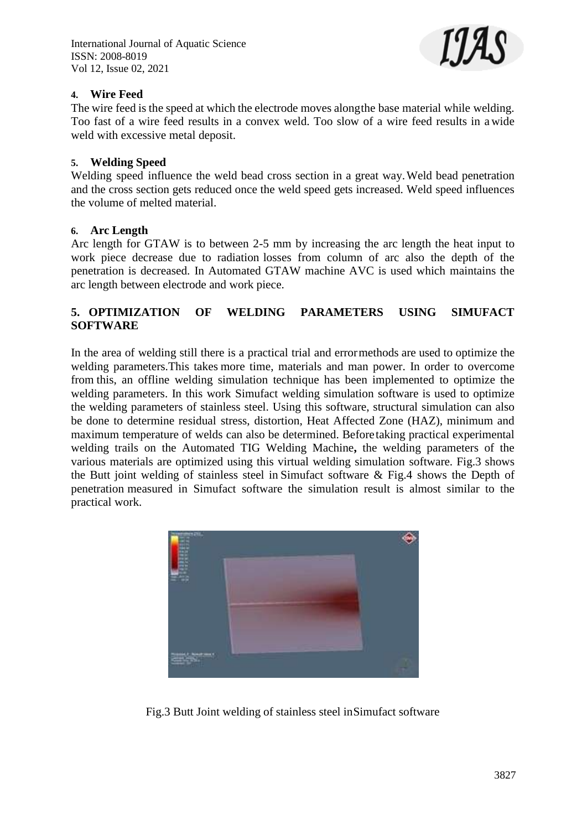

### **4. Wire Feed**

The wire feed is the speed at which the electrode moves alongthe base material while welding. Too fast of a wire feed results in a convex weld. Too slow of a wire feed results in a wide weld with excessive metal deposit.

#### **5. Welding Speed**

Welding speed influence the weld bead cross section in a great way.Weld bead penetration and the cross section gets reduced once the weld speed gets increased. Weld speed influences the volume of melted material.

#### **6. Arc Length**

Arc length for GTAW is to between 2-5 mm by increasing the arc length the heat input to work piece decrease due to radiation losses from column of arc also the depth of the penetration is decreased. In Automated GTAW machine AVC is used which maintains the arc length between electrode and work piece.

# **5. OPTIMIZATION OF WELDING PARAMETERS USING SIMUFACT SOFTWARE**

In the area of welding still there is a practical trial and errormethods are used to optimize the welding parameters.This takes more time, materials and man power. In order to overcome from this, an offline welding simulation technique has been implemented to optimize the welding parameters. In this work Simufact welding simulation software is used to optimize the welding parameters of stainless steel. Using this software, structural simulation can also be done to determine residual stress, distortion, Heat Affected Zone (HAZ), minimum and maximum temperature of welds can also be determined. Beforetaking practical experimental welding trails on the Automated TIG Welding Machine**,** the welding parameters of the various materials are optimized using this virtual welding simulation software. Fig.3 shows the Butt joint welding of stainless steel in Simufact software & Fig.4 shows the Depth of penetration measured in Simufact software the simulation result is almost similar to the practical work.



Fig.3 Butt Joint welding of stainless steel inSimufact software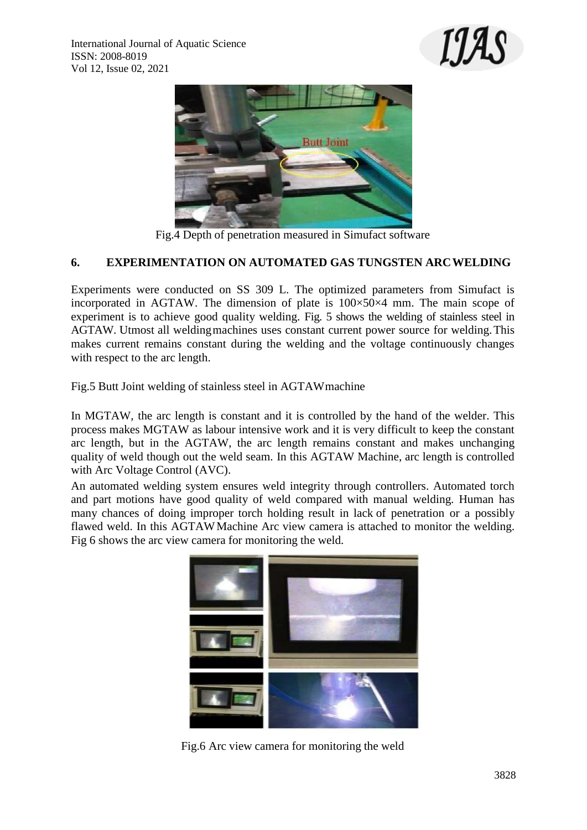



Fig.4 Depth of penetration measured in Simufact software

# **6. EXPERIMENTATION ON AUTOMATED GAS TUNGSTEN ARCWELDING**

Experiments were conducted on SS 309 L. The optimized parameters from Simufact is incorporated in AGTAW. The dimension of plate is 100×50×4 mm. The main scope of experiment is to achieve good quality welding. Fig. 5 shows the welding of stainless steel in AGTAW. Utmost all welding machines uses constant current power source for welding. This makes current remains constant during the welding and the voltage continuously changes with respect to the arc length.

Fig.5 Butt Joint welding of stainless steel in AGTAWmachine

In MGTAW, the arc length is constant and it is controlled by the hand of the welder. This process makes MGTAW as labour intensive work and it is very difficult to keep the constant arc length, but in the AGTAW, the arc length remains constant and makes unchanging quality of weld though out the weld seam. In this AGTAW Machine, arc length is controlled with Arc Voltage Control (AVC).

An automated welding system ensures weld integrity through controllers. Automated torch and part motions have good quality of weld compared with manual welding. Human has many chances of doing improper torch holding result in lack of penetration or a possibly flawed weld. In this AGTAWMachine Arc view camera is attached to monitor the welding. Fig 6 shows the arc view camera for monitoring the weld.



Fig.6 Arc view camera for monitoring the weld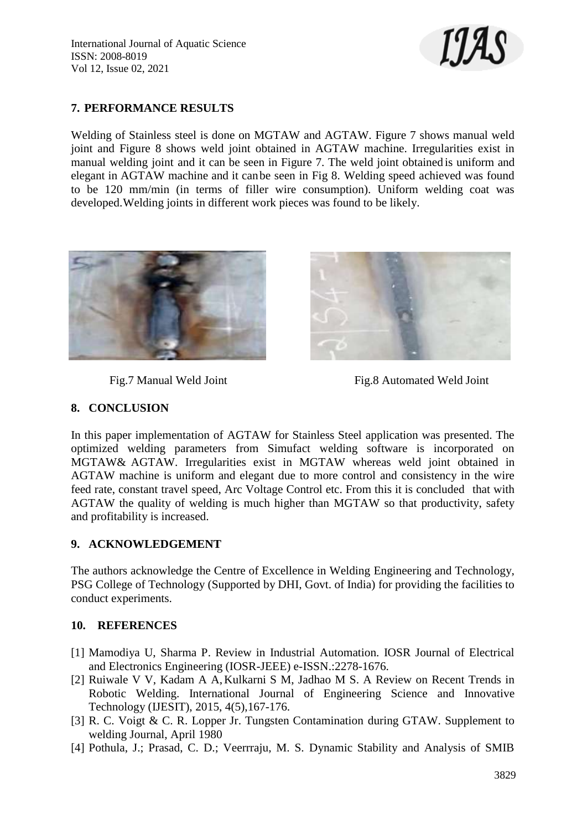

# **7. PERFORMANCE RESULTS**

Welding of Stainless steel is done on MGTAW and AGTAW. Figure 7 shows manual weld joint and Figure 8 shows weld joint obtained in AGTAW machine. Irregularities exist in manual welding joint and it can be seen in Figure 7. The weld joint obtained is uniform and elegant in AGTAW machine and it canbe seen in Fig 8. Welding speed achieved was found to be 120 mm/min (in terms of filler wire consumption). Uniform welding coat was developed.Welding joints in different work pieces was found to be likely.





Fig.7 Manual Weld Joint Fig.8 Automated Weld Joint

# **8. CONCLUSION**

In this paper implementation of AGTAW for Stainless Steel application was presented. The optimized welding parameters from Simufact welding software is incorporated on MGTAW& AGTAW. Irregularities exist in MGTAW whereas weld joint obtained in AGTAW machine is uniform and elegant due to more control and consistency in the wire feed rate, constant travel speed, Arc Voltage Control etc. From this it is concluded that with AGTAW the quality of welding is much higher than MGTAW so that productivity, safety and profitability is increased.

# **9. ACKNOWLEDGEMENT**

The authors acknowledge the Centre of Excellence in Welding Engineering and Technology, PSG College of Technology (Supported by DHI, Govt. of India) for providing the facilities to conduct experiments.

# **10. REFERENCES**

- [1] Mamodiya U, Sharma P. Review in Industrial Automation. IOSR Journal of Electrical and Electronics Engineering (IOSR-JEEE) e-ISSN.:2278-1676.
- [2] Ruiwale V V, Kadam A A,Kulkarni S M, Jadhao M S. A Review on Recent Trends in Robotic Welding. International Journal of Engineering Science and Innovative Technology (IJESIT), 2015, 4(5),167-176.
- [3] R. C. Voigt & C. R. Lopper Jr. Tungsten Contamination during GTAW. Supplement to welding Journal, April 1980
- [4] Pothula, J.; Prasad, C. D.; Veerrraju, M. S. Dynamic Stability and Analysis of SMIB